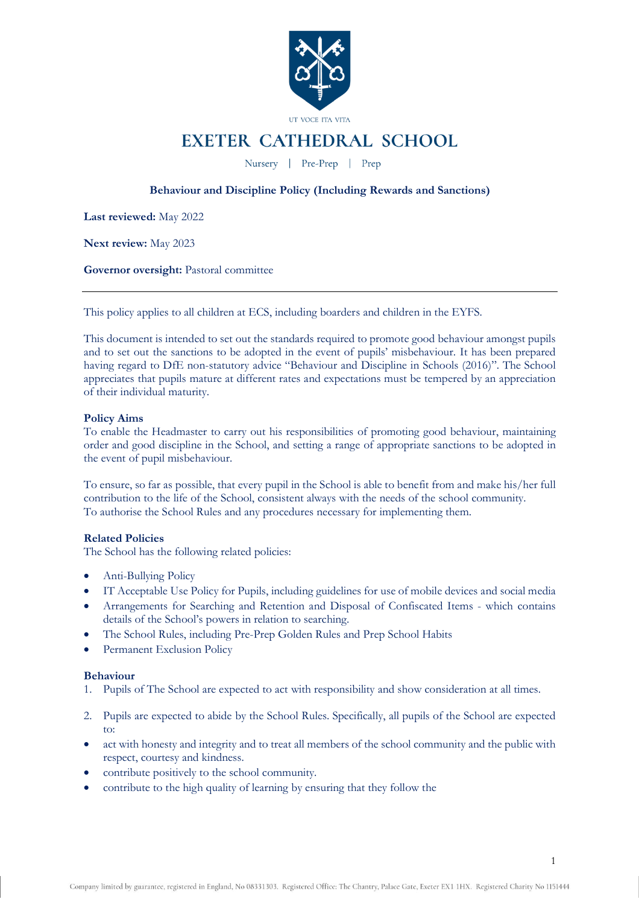

# EXETER CATHEDRAL SCHOOL

Nursery | Pre-Prep | Prep

# **Behaviour and Discipline Policy (Including Rewards and Sanctions)**

**Last reviewed:** May 2022

**Next review:** May 2023

**Governor oversight:** Pastoral committee

This policy applies to all children at ECS, including boarders and children in the EYFS.

This document is intended to set out the standards required to promote good behaviour amongst pupils and to set out the sanctions to be adopted in the event of pupils' misbehaviour. It has been prepared having regard to DfE non-statutory advice "Behaviour and Discipline in Schools (2016)". The School appreciates that pupils mature at different rates and expectations must be tempered by an appreciation of their individual maturity.

# **Policy Aims**

To enable the Headmaster to carry out his responsibilities of promoting good behaviour, maintaining order and good discipline in the School, and setting a range of appropriate sanctions to be adopted in the event of pupil misbehaviour.

To ensure, so far as possible, that every pupil in the School is able to benefit from and make his/her full contribution to the life of the School, consistent always with the needs of the school community. To authorise the School Rules and any procedures necessary for implementing them.

# **Related Policies**

The School has the following related policies:

- Anti-Bullying Policy
- IT Acceptable Use Policy for Pupils, including guidelines for use of mobile devices and social media
- Arrangements for Searching and Retention and Disposal of Confiscated Items which contains details of the School's powers in relation to searching.
- The School Rules, including Pre-Prep Golden Rules and Prep School Habits
- Permanent Exclusion Policy

# **Behaviour**

- 1. Pupils of The School are expected to act with responsibility and show consideration at all times.
- 2. Pupils are expected to abide by the School Rules. Specifically, all pupils of the School are expected to:
- act with honesty and integrity and to treat all members of the school community and the public with respect, courtesy and kindness.
- contribute positively to the school community.
- contribute to the high quality of learning by ensuring that they follow the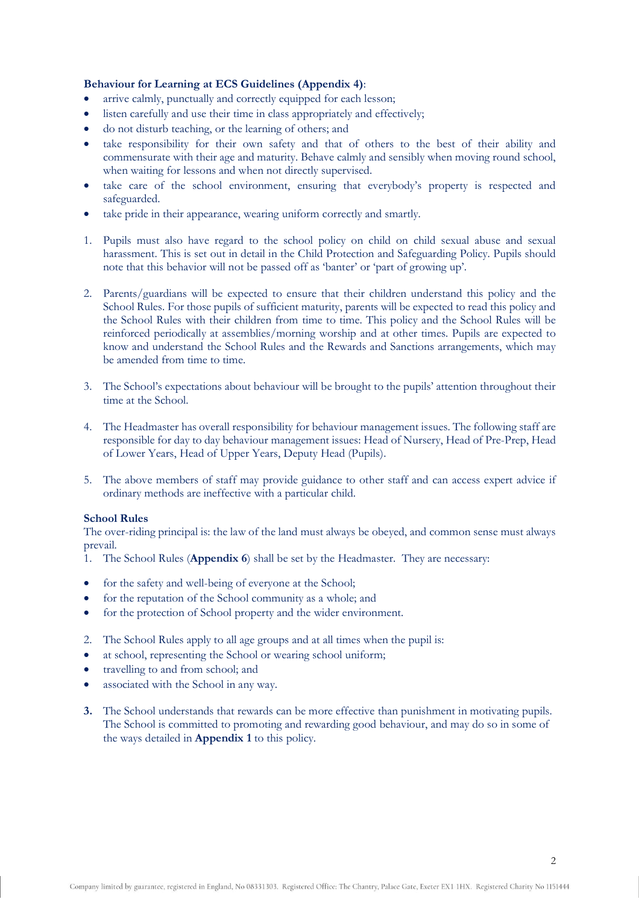# **Behaviour for Learning at ECS Guidelines (Appendix 4)**:

- arrive calmly, punctually and correctly equipped for each lesson;
- listen carefully and use their time in class appropriately and effectively;
- do not disturb teaching, or the learning of others; and
- take responsibility for their own safety and that of others to the best of their ability and commensurate with their age and maturity. Behave calmly and sensibly when moving round school, when waiting for lessons and when not directly supervised.
- take care of the school environment, ensuring that everybody's property is respected and safeguarded.
- take pride in their appearance, wearing uniform correctly and smartly.
- 1. Pupils must also have regard to the school policy on child on child sexual abuse and sexual harassment. This is set out in detail in the Child Protection and Safeguarding Policy. Pupils should note that this behavior will not be passed off as 'banter' or 'part of growing up'.
- 2. Parents/guardians will be expected to ensure that their children understand this policy and the School Rules. For those pupils of sufficient maturity, parents will be expected to read this policy and the School Rules with their children from time to time. This policy and the School Rules will be reinforced periodically at assemblies/morning worship and at other times. Pupils are expected to know and understand the School Rules and the Rewards and Sanctions arrangements, which may be amended from time to time.
- 3. The School's expectations about behaviour will be brought to the pupils' attention throughout their time at the School.
- 4. The Headmaster has overall responsibility for behaviour management issues. The following staff are responsible for day to day behaviour management issues: Head of Nursery, Head of Pre-Prep, Head of Lower Years, Head of Upper Years, Deputy Head (Pupils).
- 5. The above members of staff may provide guidance to other staff and can access expert advice if ordinary methods are ineffective with a particular child.

### **School Rules**

The over-riding principal is: the law of the land must always be obeyed, and common sense must always prevail.

- 1. The School Rules (**Appendix 6**) shall be set by the Headmaster. They are necessary:
- for the safety and well-being of everyone at the School;
- for the reputation of the School community as a whole; and
- for the protection of School property and the wider environment.
- 2. The School Rules apply to all age groups and at all times when the pupil is:
- at school, representing the School or wearing school uniform;
- travelling to and from school; and
- associated with the School in any way.
- **3.** The School understands that rewards can be more effective than punishment in motivating pupils. The School is committed to promoting and rewarding good behaviour, and may do so in some of the ways detailed in **Appendix 1** to this policy.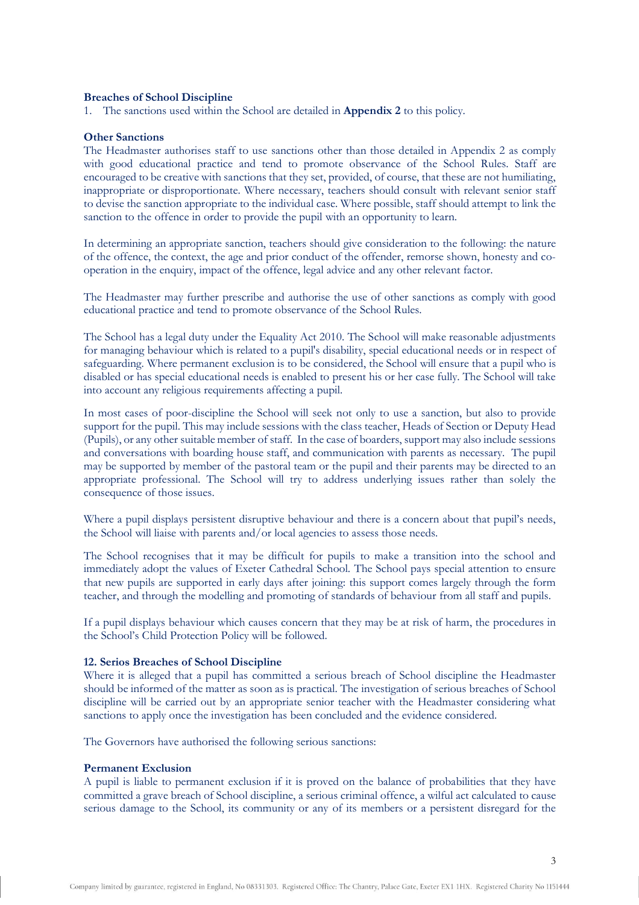### **Breaches of School Discipline**

1. The sanctions used within the School are detailed in **Appendix 2** to this policy.

### **Other Sanctions**

The Headmaster authorises staff to use sanctions other than those detailed in Appendix 2 as comply with good educational practice and tend to promote observance of the School Rules. Staff are encouraged to be creative with sanctions that they set, provided, of course, that these are not humiliating, inappropriate or disproportionate. Where necessary, teachers should consult with relevant senior staff to devise the sanction appropriate to the individual case. Where possible, staff should attempt to link the sanction to the offence in order to provide the pupil with an opportunity to learn.

In determining an appropriate sanction, teachers should give consideration to the following: the nature of the offence, the context, the age and prior conduct of the offender, remorse shown, honesty and cooperation in the enquiry, impact of the offence, legal advice and any other relevant factor.

The Headmaster may further prescribe and authorise the use of other sanctions as comply with good educational practice and tend to promote observance of the School Rules.

The School has a legal duty under the Equality Act 2010. The School will make reasonable adjustments for managing behaviour which is related to a pupil's disability, special educational needs or in respect of safeguarding. Where permanent exclusion is to be considered, the School will ensure that a pupil who is disabled or has special educational needs is enabled to present his or her case fully. The School will take into account any religious requirements affecting a pupil.

In most cases of poor-discipline the School will seek not only to use a sanction, but also to provide support for the pupil. This may include sessions with the class teacher, Heads of Section or Deputy Head (Pupils), or any other suitable member of staff. In the case of boarders, support may also include sessions and conversations with boarding house staff, and communication with parents as necessary. The pupil may be supported by member of the pastoral team or the pupil and their parents may be directed to an appropriate professional. The School will try to address underlying issues rather than solely the consequence of those issues.

Where a pupil displays persistent disruptive behaviour and there is a concern about that pupil's needs, the School will liaise with parents and/or local agencies to assess those needs.

The School recognises that it may be difficult for pupils to make a transition into the school and immediately adopt the values of Exeter Cathedral School. The School pays special attention to ensure that new pupils are supported in early days after joining: this support comes largely through the form teacher, and through the modelling and promoting of standards of behaviour from all staff and pupils.

If a pupil displays behaviour which causes concern that they may be at risk of harm, the procedures in the School's Child Protection Policy will be followed.

#### **12. Serios Breaches of School Discipline**

Where it is alleged that a pupil has committed a serious breach of School discipline the Headmaster should be informed of the matter as soon as is practical. The investigation of serious breaches of School discipline will be carried out by an appropriate senior teacher with the Headmaster considering what sanctions to apply once the investigation has been concluded and the evidence considered.

The Governors have authorised the following serious sanctions:

### **Permanent Exclusion**

A pupil is liable to permanent exclusion if it is proved on the balance of probabilities that they have committed a grave breach of School discipline, a serious criminal offence, a wilful act calculated to cause serious damage to the School, its community or any of its members or a persistent disregard for the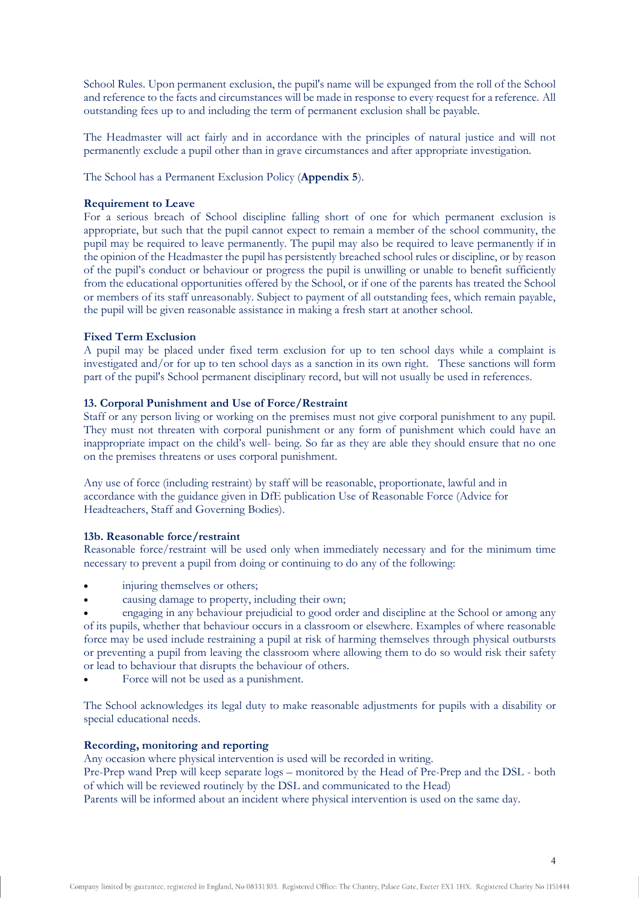School Rules. Upon permanent exclusion, the pupil's name will be expunged from the roll of the School and reference to the facts and circumstances will be made in response to every request for a reference. All outstanding fees up to and including the term of permanent exclusion shall be payable.

The Headmaster will act fairly and in accordance with the principles of natural justice and will not permanently exclude a pupil other than in grave circumstances and after appropriate investigation.

The School has a Permanent Exclusion Policy (**Appendix 5**).

# **Requirement to Leave**

For a serious breach of School discipline falling short of one for which permanent exclusion is appropriate, but such that the pupil cannot expect to remain a member of the school community, the pupil may be required to leave permanently. The pupil may also be required to leave permanently if in the opinion of the Headmaster the pupil has persistently breached school rules or discipline, or by reason of the pupil's conduct or behaviour or progress the pupil is unwilling or unable to benefit sufficiently from the educational opportunities offered by the School, or if one of the parents has treated the School or members of its staff unreasonably. Subject to payment of all outstanding fees, which remain payable, the pupil will be given reasonable assistance in making a fresh start at another school.

# **Fixed Term Exclusion**

A pupil may be placed under fixed term exclusion for up to ten school days while a complaint is investigated and/or for up to ten school days as a sanction in its own right. These sanctions will form part of the pupil's School permanent disciplinary record, but will not usually be used in references.

# **13. Corporal Punishment and Use of Force/Restraint**

Staff or any person living or working on the premises must not give corporal punishment to any pupil. They must not threaten with corporal punishment or any form of punishment which could have an inappropriate impact on the child's well- being. So far as they are able they should ensure that no one on the premises threatens or uses corporal punishment.

Any use of force (including restraint) by staff will be reasonable, proportionate, lawful and in accordance with the guidance given in DfE publication Use of Reasonable Force (Advice for Headteachers, Staff and Governing Bodies).

### **13b. Reasonable force/restraint**

Reasonable force/restraint will be used only when immediately necessary and for the minimum time necessary to prevent a pupil from doing or continuing to do any of the following:

- injuring themselves or others;
- causing damage to property, including their own;

• engaging in any behaviour prejudicial to good order and discipline at the School or among any of its pupils, whether that behaviour occurs in a classroom or elsewhere. Examples of where reasonable force may be used include restraining a pupil at risk of harming themselves through physical outbursts or preventing a pupil from leaving the classroom where allowing them to do so would risk their safety or lead to behaviour that disrupts the behaviour of others.

• Force will not be used as a punishment.

The School acknowledges its legal duty to make reasonable adjustments for pupils with a disability or special educational needs.

# **Recording, monitoring and reporting**

Any occasion where physical intervention is used will be recorded in writing.

Pre-Prep wand Prep will keep separate logs – monitored by the Head of Pre-Prep and the DSL - both of which will be reviewed routinely by the DSL and communicated to the Head)

Parents will be informed about an incident where physical intervention is used on the same day.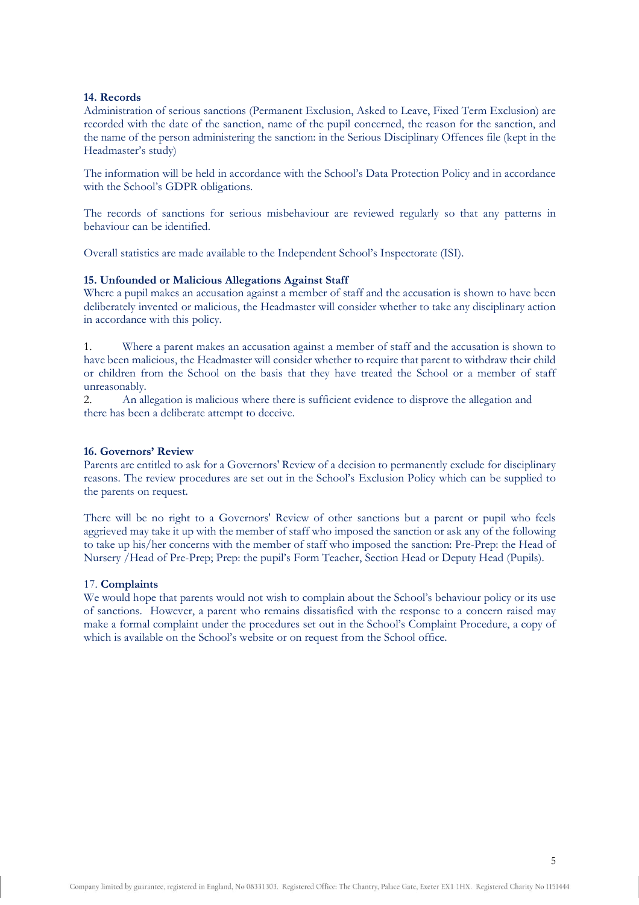### **14. Records**

Administration of serious sanctions (Permanent Exclusion, Asked to Leave, Fixed Term Exclusion) are recorded with the date of the sanction, name of the pupil concerned, the reason for the sanction, and the name of the person administering the sanction: in the Serious Disciplinary Offences file (kept in the Headmaster's study)

The information will be held in accordance with the School's Data Protection Policy and in accordance with the School's GDPR obligations.

The records of sanctions for serious misbehaviour are reviewed regularly so that any patterns in behaviour can be identified.

Overall statistics are made available to the Independent School's Inspectorate (ISI).

# **15. Unfounded or Malicious Allegations Against Staff**

Where a pupil makes an accusation against a member of staff and the accusation is shown to have been deliberately invented or malicious, the Headmaster will consider whether to take any disciplinary action in accordance with this policy.

1. Where a parent makes an accusation against a member of staff and the accusation is shown to have been malicious, the Headmaster will consider whether to require that parent to withdraw their child or children from the School on the basis that they have treated the School or a member of staff unreasonably.

2. An allegation is malicious where there is sufficient evidence to disprove the allegation and there has been a deliberate attempt to deceive.

# **16. Governors' Review**

Parents are entitled to ask for a Governors' Review of a decision to permanently exclude for disciplinary reasons. The review procedures are set out in the School's Exclusion Policy which can be supplied to the parents on request.

There will be no right to a Governors' Review of other sanctions but a parent or pupil who feels aggrieved may take it up with the member of staff who imposed the sanction or ask any of the following to take up his/her concerns with the member of staff who imposed the sanction: Pre-Prep: the Head of Nursery /Head of Pre-Prep; Prep: the pupil's Form Teacher, Section Head or Deputy Head (Pupils).

### 17. **Complaints**

We would hope that parents would not wish to complain about the School's behaviour policy or its use of sanctions. However, a parent who remains dissatisfied with the response to a concern raised may make a formal complaint under the procedures set out in the School's Complaint Procedure, a copy of which is available on the School's website or on request from the School office.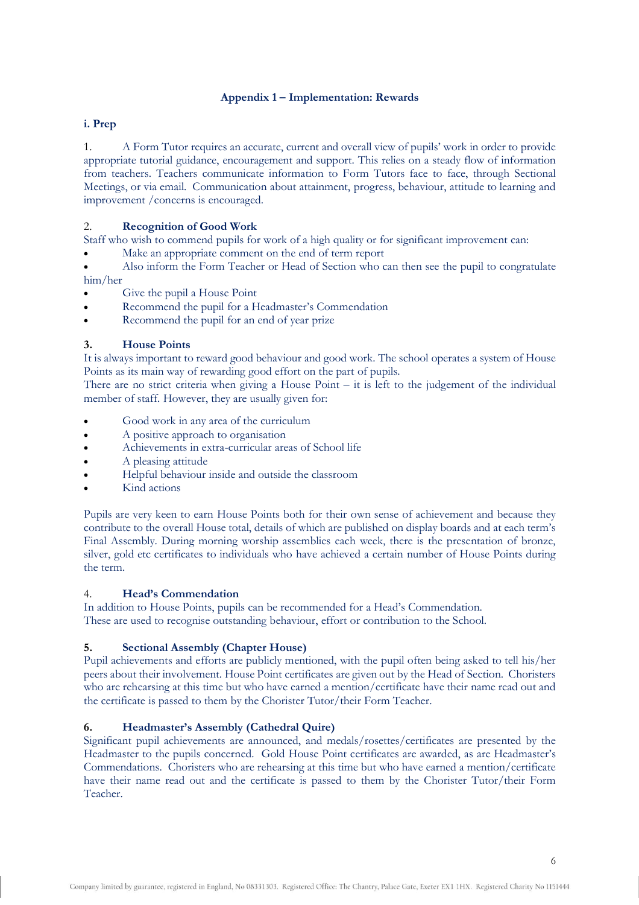# **Appendix 1 – Implementation: Rewards**

# **i. Prep**

1. A Form Tutor requires an accurate, current and overall view of pupils' work in order to provide appropriate tutorial guidance, encouragement and support. This relies on a steady flow of information from teachers. Teachers communicate information to Form Tutors face to face, through Sectional Meetings, or via email. Communication about attainment, progress, behaviour, attitude to learning and improvement /concerns is encouraged.

# 2. **Recognition of Good Work**

Staff who wish to commend pupils for work of a high quality or for significant improvement can:

Make an appropriate comment on the end of term report

• Also inform the Form Teacher or Head of Section who can then see the pupil to congratulate him/her

- Give the pupil a House Point
- Recommend the pupil for a Headmaster's Commendation
- Recommend the pupil for an end of year prize

# **3. House Points**

It is always important to reward good behaviour and good work. The school operates a system of House Points as its main way of rewarding good effort on the part of pupils.

There are no strict criteria when giving a House Point – it is left to the judgement of the individual member of staff. However, they are usually given for:

- Good work in any area of the curriculum
- A positive approach to organisation
- Achievements in extra-curricular areas of School life
- A pleasing attitude
- Helpful behaviour inside and outside the classroom
- Kind actions

Pupils are very keen to earn House Points both for their own sense of achievement and because they contribute to the overall House total, details of which are published on display boards and at each term's Final Assembly. During morning worship assemblies each week, there is the presentation of bronze, silver, gold etc certificates to individuals who have achieved a certain number of House Points during the term.

### 4. **Head's Commendation**

In addition to House Points, pupils can be recommended for a Head's Commendation. These are used to recognise outstanding behaviour, effort or contribution to the School.

# **5. Sectional Assembly (Chapter House)**

Pupil achievements and efforts are publicly mentioned, with the pupil often being asked to tell his/her peers about their involvement. House Point certificates are given out by the Head of Section. Choristers who are rehearsing at this time but who have earned a mention/certificate have their name read out and the certificate is passed to them by the Chorister Tutor/their Form Teacher.

# **6. Headmaster's Assembly (Cathedral Quire)**

Significant pupil achievements are announced, and medals/rosettes/certificates are presented by the Headmaster to the pupils concerned. Gold House Point certificates are awarded, as are Headmaster's Commendations. Choristers who are rehearsing at this time but who have earned a mention/certificate have their name read out and the certificate is passed to them by the Chorister Tutor/their Form Teacher.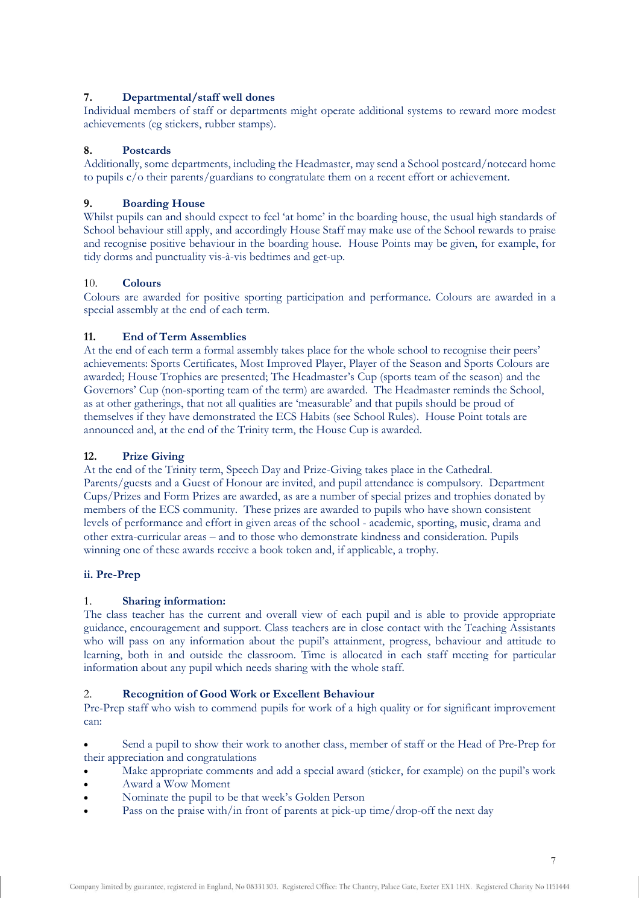# **7. Departmental/staff well dones**

Individual members of staff or departments might operate additional systems to reward more modest achievements (eg stickers, rubber stamps).

# **8. Postcards**

Additionally, some departments, including the Headmaster, may send a School postcard/notecard home to pupils c/o their parents/guardians to congratulate them on a recent effort or achievement.

# **9. Boarding House**

Whilst pupils can and should expect to feel 'at home' in the boarding house, the usual high standards of School behaviour still apply, and accordingly House Staff may make use of the School rewards to praise and recognise positive behaviour in the boarding house. House Points may be given, for example, for tidy dorms and punctuality vis-à-vis bedtimes and get-up.

# 10. **Colours**

Colours are awarded for positive sporting participation and performance. Colours are awarded in a special assembly at the end of each term.

# **11. End of Term Assemblies**

At the end of each term a formal assembly takes place for the whole school to recognise their peers' achievements: Sports Certificates, Most Improved Player, Player of the Season and Sports Colours are awarded; House Trophies are presented; The Headmaster's Cup (sports team of the season) and the Governors' Cup (non-sporting team of the term) are awarded. The Headmaster reminds the School, as at other gatherings, that not all qualities are 'measurable' and that pupils should be proud of themselves if they have demonstrated the ECS Habits (see School Rules). House Point totals are announced and, at the end of the Trinity term, the House Cup is awarded.

# **12. Prize Giving**

At the end of the Trinity term, Speech Day and Prize-Giving takes place in the Cathedral. Parents/guests and a Guest of Honour are invited, and pupil attendance is compulsory. Department Cups/Prizes and Form Prizes are awarded, as are a number of special prizes and trophies donated by members of the ECS community. These prizes are awarded to pupils who have shown consistent levels of performance and effort in given areas of the school - academic, sporting, music, drama and other extra-curricular areas – and to those who demonstrate kindness and consideration. Pupils winning one of these awards receive a book token and, if applicable, a trophy.

# **ii. Pre-Prep**

# 1. **Sharing information:**

The class teacher has the current and overall view of each pupil and is able to provide appropriate guidance, encouragement and support. Class teachers are in close contact with the Teaching Assistants who will pass on any information about the pupil's attainment, progress, behaviour and attitude to learning, both in and outside the classroom. Time is allocated in each staff meeting for particular information about any pupil which needs sharing with the whole staff.

# 2. **Recognition of Good Work or Excellent Behaviour**

Pre-Prep staff who wish to commend pupils for work of a high quality or for significant improvement can:

• Send a pupil to show their work to another class, member of staff or the Head of Pre-Prep for their appreciation and congratulations

- Make appropriate comments and add a special award (sticker, for example) on the pupil's work
- Award a Wow Moment
- Nominate the pupil to be that week's Golden Person
- Pass on the praise with/in front of parents at pick-up time/drop-off the next day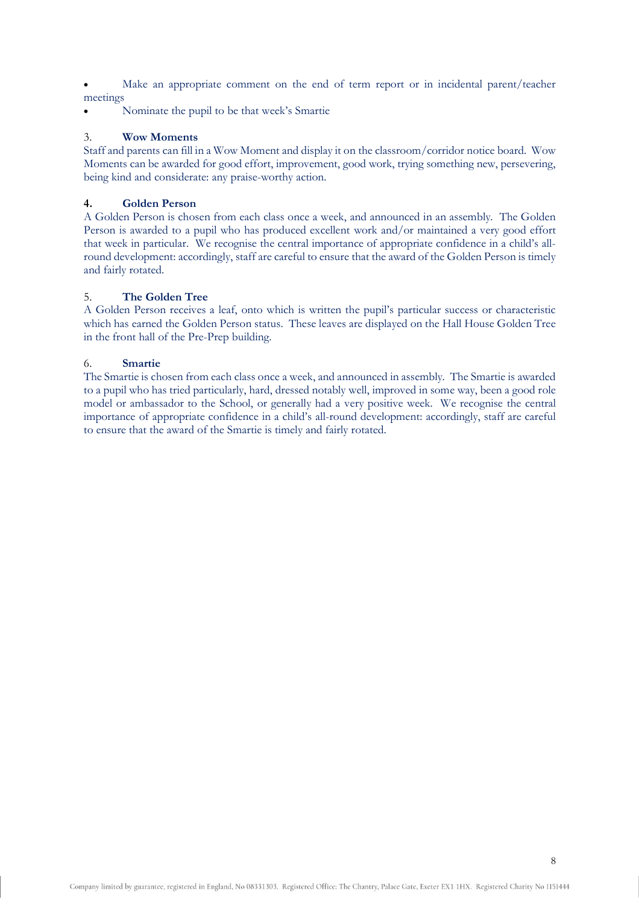Make an appropriate comment on the end of term report or in incidental parent/teacher meetings

• Nominate the pupil to be that week's Smartie

# 3. **Wow Moments**

Staff and parents can fill in a Wow Moment and display it on the classroom/corridor notice board. Wow Moments can be awarded for good effort, improvement, good work, trying something new, persevering, being kind and considerate: any praise-worthy action.

# **4. Golden Person**

A Golden Person is chosen from each class once a week, and announced in an assembly. The Golden Person is awarded to a pupil who has produced excellent work and/or maintained a very good effort that week in particular. We recognise the central importance of appropriate confidence in a child's allround development: accordingly, staff are careful to ensure that the award of the Golden Person is timely and fairly rotated.

# 5. **The Golden Tree**

A Golden Person receives a leaf, onto which is written the pupil's particular success or characteristic which has earned the Golden Person status. These leaves are displayed on the Hall House Golden Tree in the front hall of the Pre-Prep building.

# 6. **Smartie**

The Smartie is chosen from each class once a week, and announced in assembly. The Smartie is awarded to a pupil who has tried particularly, hard, dressed notably well, improved in some way, been a good role model or ambassador to the School, or generally had a very positive week. We recognise the central importance of appropriate confidence in a child's all-round development: accordingly, staff are careful to ensure that the award of the Smartie is timely and fairly rotated.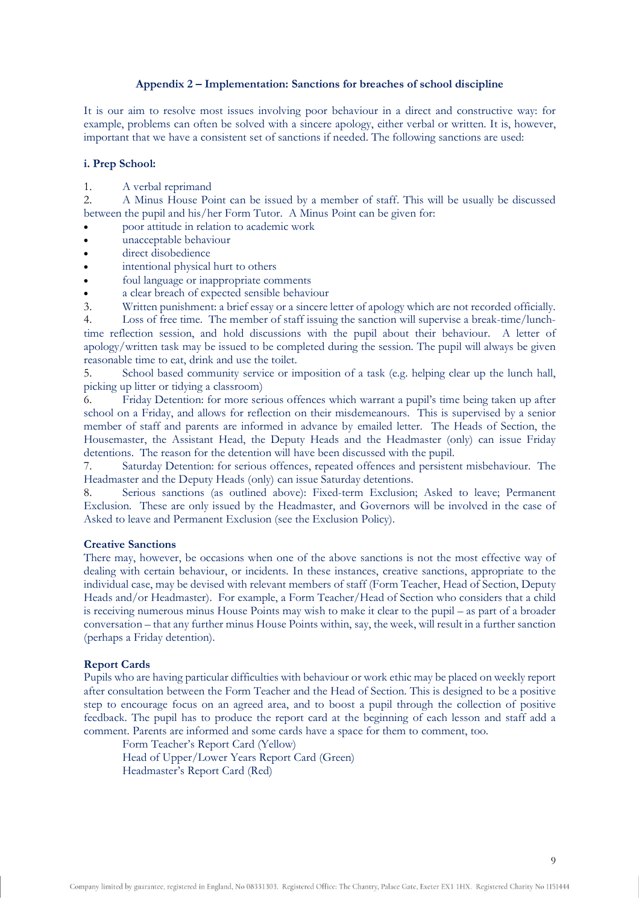### **Appendix 2 – Implementation: Sanctions for breaches of school discipline**

It is our aim to resolve most issues involving poor behaviour in a direct and constructive way: for example, problems can often be solved with a sincere apology, either verbal or written. It is, however, important that we have a consistent set of sanctions if needed. The following sanctions are used:

### **i. Prep School:**

1. A verbal reprimand

2. A Minus House Point can be issued by a member of staff. This will be usually be discussed between the pupil and his/her Form Tutor. A Minus Point can be given for:

- poor attitude in relation to academic work
- unacceptable behaviour
- direct disobedience
- intentional physical hurt to others
- foul language or inappropriate comments
- a clear breach of expected sensible behaviour

3. Written punishment: a brief essay or a sincere letter of apology which are not recorded officially.

4. Loss of free time. The member of staff issuing the sanction will supervise a break-time/lunchtime reflection session, and hold discussions with the pupil about their behaviour. A letter of apology/written task may be issued to be completed during the session. The pupil will always be given reasonable time to eat, drink and use the toilet.

5. School based community service or imposition of a task (e.g. helping clear up the lunch hall, picking up litter or tidying a classroom)

6. Friday Detention: for more serious offences which warrant a pupil's time being taken up after school on a Friday, and allows for reflection on their misdemeanours. This is supervised by a senior member of staff and parents are informed in advance by emailed letter. The Heads of Section, the Housemaster, the Assistant Head, the Deputy Heads and the Headmaster (only) can issue Friday detentions. The reason for the detention will have been discussed with the pupil.

7. Saturday Detention: for serious offences, repeated offences and persistent misbehaviour. The Headmaster and the Deputy Heads (only) can issue Saturday detentions.

8. Serious sanctions (as outlined above): Fixed-term Exclusion; Asked to leave; Permanent Exclusion. These are only issued by the Headmaster, and Governors will be involved in the case of Asked to leave and Permanent Exclusion (see the Exclusion Policy).

#### **Creative Sanctions**

There may, however, be occasions when one of the above sanctions is not the most effective way of dealing with certain behaviour, or incidents. In these instances, creative sanctions, appropriate to the individual case, may be devised with relevant members of staff (Form Teacher, Head of Section, Deputy Heads and/or Headmaster). For example, a Form Teacher/Head of Section who considers that a child is receiving numerous minus House Points may wish to make it clear to the pupil – as part of a broader conversation – that any further minus House Points within, say, the week, will result in a further sanction (perhaps a Friday detention).

### **Report Cards**

Pupils who are having particular difficulties with behaviour or work ethic may be placed on weekly report after consultation between the Form Teacher and the Head of Section. This is designed to be a positive step to encourage focus on an agreed area, and to boost a pupil through the collection of positive feedback. The pupil has to produce the report card at the beginning of each lesson and staff add a comment. Parents are informed and some cards have a space for them to comment, too.

Form Teacher's Report Card (Yellow) Head of Upper/Lower Years Report Card (Green) Headmaster's Report Card (Red)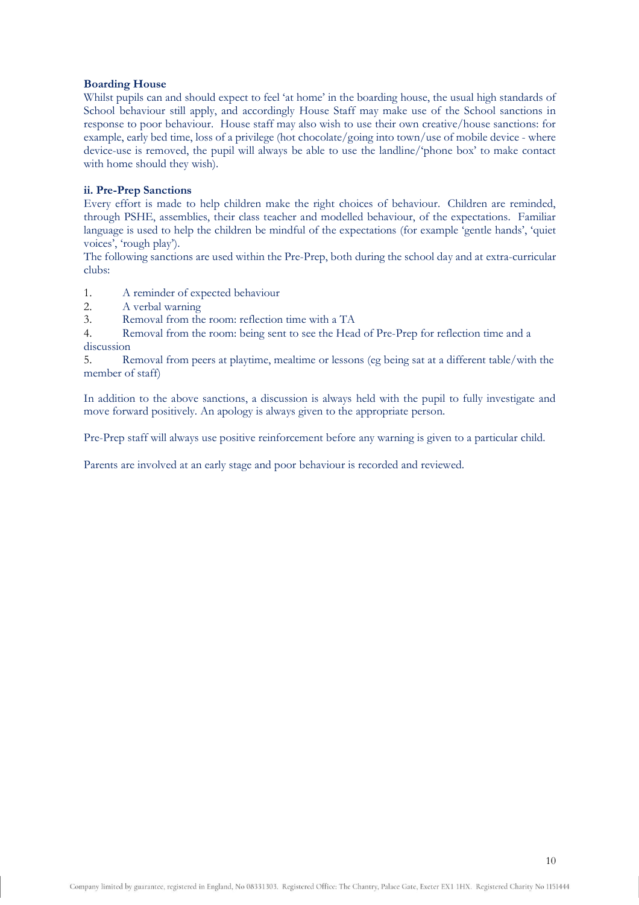# **Boarding House**

Whilst pupils can and should expect to feel 'at home' in the boarding house, the usual high standards of School behaviour still apply, and accordingly House Staff may make use of the School sanctions in response to poor behaviour. House staff may also wish to use their own creative/house sanctions: for example, early bed time, loss of a privilege (hot chocolate/going into town/use of mobile device - where device-use is removed, the pupil will always be able to use the landline/'phone box' to make contact with home should they wish).

# **ii. Pre-Prep Sanctions**

Every effort is made to help children make the right choices of behaviour. Children are reminded, through PSHE, assemblies, their class teacher and modelled behaviour, of the expectations. Familiar language is used to help the children be mindful of the expectations (for example 'gentle hands', 'quiet voices', 'rough play').

The following sanctions are used within the Pre-Prep, both during the school day and at extra-curricular clubs:

- 1. A reminder of expected behaviour
- 2. A verbal warning
- 3. Removal from the room: reflection time with a TA

4. Removal from the room: being sent to see the Head of Pre-Prep for reflection time and a discussion

5. Removal from peers at playtime, mealtime or lessons (eg being sat at a different table/with the member of staff)

In addition to the above sanctions, a discussion is always held with the pupil to fully investigate and move forward positively. An apology is always given to the appropriate person.

Pre-Prep staff will always use positive reinforcement before any warning is given to a particular child.

Parents are involved at an early stage and poor behaviour is recorded and reviewed.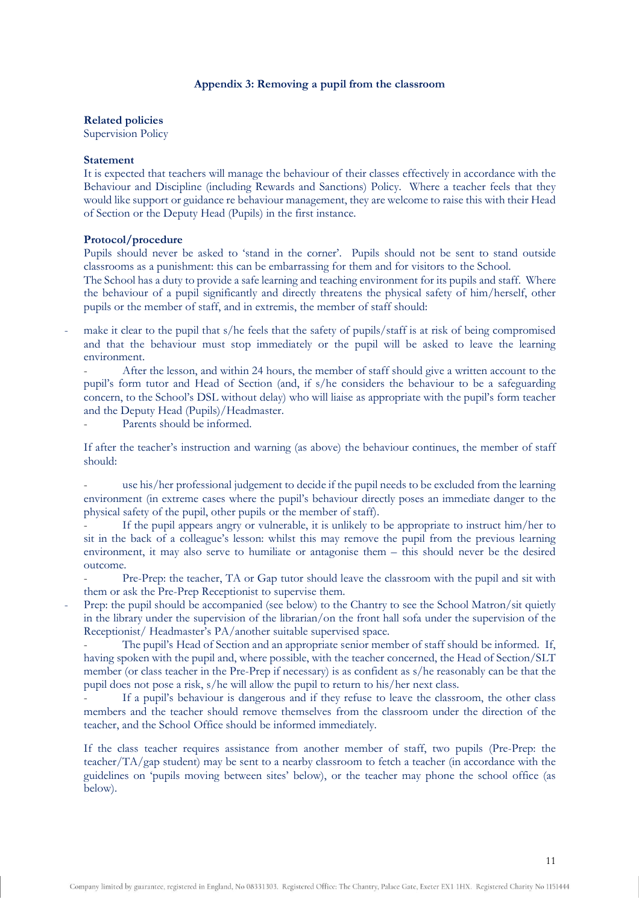### **Appendix 3: Removing a pupil from the classroom**

**Related policies**

Supervision Policy

### **Statement**

It is expected that teachers will manage the behaviour of their classes effectively in accordance with the Behaviour and Discipline (including Rewards and Sanctions) Policy. Where a teacher feels that they would like support or guidance re behaviour management, they are welcome to raise this with their Head of Section or the Deputy Head (Pupils) in the first instance.

### **Protocol/procedure**

Pupils should never be asked to 'stand in the corner'. Pupils should not be sent to stand outside classrooms as a punishment: this can be embarrassing for them and for visitors to the School.

The School has a duty to provide a safe learning and teaching environment for its pupils and staff. Where the behaviour of a pupil significantly and directly threatens the physical safety of him/herself, other pupils or the member of staff, and in extremis, the member of staff should:

make it clear to the pupil that s/he feels that the safety of pupils/staff is at risk of being compromised and that the behaviour must stop immediately or the pupil will be asked to leave the learning environment.

After the lesson, and within 24 hours, the member of staff should give a written account to the pupil's form tutor and Head of Section (and, if s/he considers the behaviour to be a safeguarding concern, to the School's DSL without delay) who will liaise as appropriate with the pupil's form teacher and the Deputy Head (Pupils)/Headmaster.

Parents should be informed.

If after the teacher's instruction and warning (as above) the behaviour continues, the member of staff should:

use his/her professional judgement to decide if the pupil needs to be excluded from the learning environment (in extreme cases where the pupil's behaviour directly poses an immediate danger to the physical safety of the pupil, other pupils or the member of staff).

If the pupil appears angry or vulnerable, it is unlikely to be appropriate to instruct him/her to sit in the back of a colleague's lesson: whilst this may remove the pupil from the previous learning environment, it may also serve to humiliate or antagonise them – this should never be the desired outcome.

Pre-Prep: the teacher, TA or Gap tutor should leave the classroom with the pupil and sit with them or ask the Pre-Prep Receptionist to supervise them.

Prep: the pupil should be accompanied (see below) to the Chantry to see the School Matron/sit quietly in the library under the supervision of the librarian/on the front hall sofa under the supervision of the Receptionist/ Headmaster's PA/another suitable supervised space.

- The pupil's Head of Section and an appropriate senior member of staff should be informed. If, having spoken with the pupil and, where possible, with the teacher concerned, the Head of Section/SLT member (or class teacher in the Pre-Prep if necessary) is as confident as s/he reasonably can be that the pupil does not pose a risk, s/he will allow the pupil to return to his/her next class.

If a pupil's behaviour is dangerous and if they refuse to leave the classroom, the other class members and the teacher should remove themselves from the classroom under the direction of the teacher, and the School Office should be informed immediately.

If the class teacher requires assistance from another member of staff, two pupils (Pre-Prep: the teacher/TA/gap student) may be sent to a nearby classroom to fetch a teacher (in accordance with the guidelines on 'pupils moving between sites' below), or the teacher may phone the school office (as below).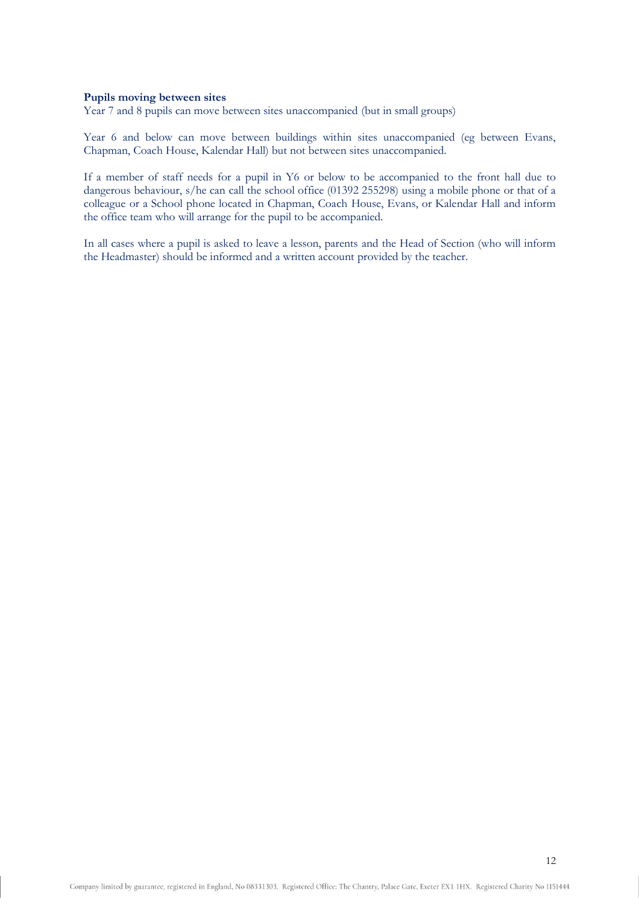### **Pupils moving between sites**

Year 7 and 8 pupils can move between sites unaccompanied (but in small groups)

Year 6 and below can move between buildings within sites unaccompanied (eg between Evans, Chapman, Coach House, Kalendar Hall) but not between sites unaccompanied.

If a member of staff needs for a pupil in Y6 or below to be accompanied to the front hall due to dangerous behaviour, s/he can call the school office (01392 255298) using a mobile phone or that of a colleague or a School phone located in Chapman, Coach House, Evans, or Kalendar Hall and inform the office team who will arrange for the pupil to be accompanied.

In all cases where a pupil is asked to leave a lesson, parents and the Head of Section (who will inform the Headmaster) should be informed and a written account provided by the teacher.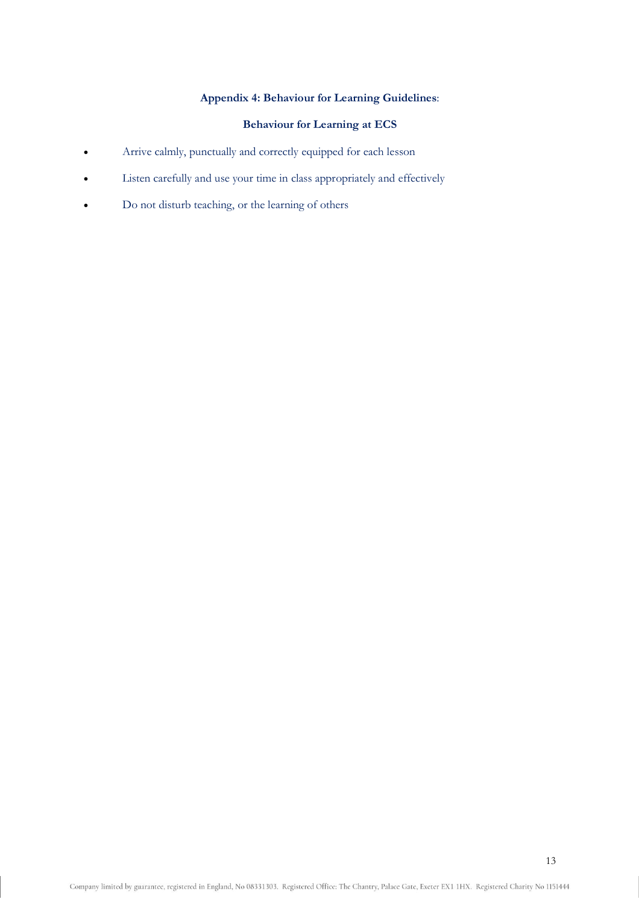# **Appendix 4: Behaviour for Learning Guidelines**:

# **Behaviour for Learning at ECS**

- Arrive calmly, punctually and correctly equipped for each lesson
- Listen carefully and use your time in class appropriately and effectively
- Do not disturb teaching, or the learning of others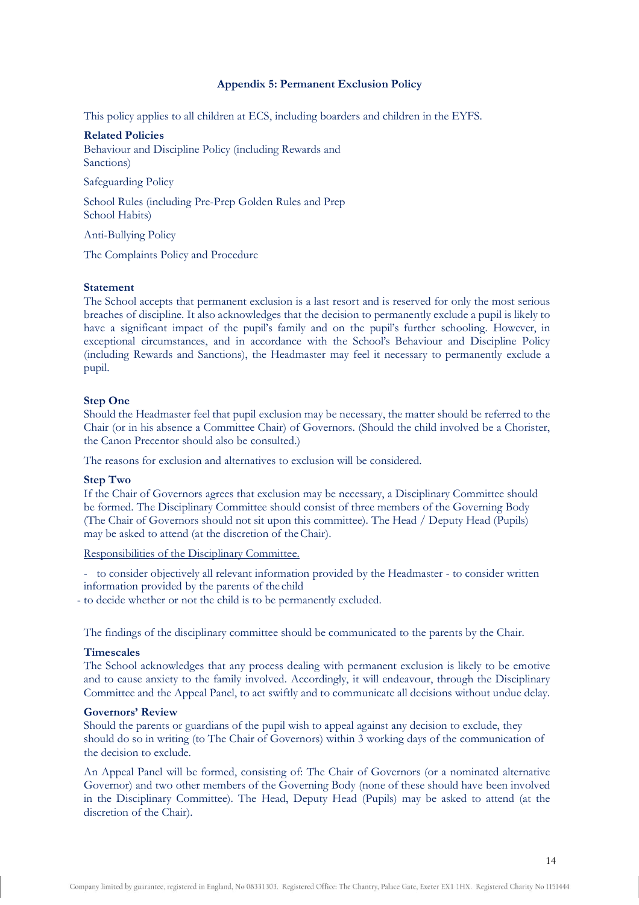### **Appendix 5: Permanent Exclusion Policy**

This policy applies to all children at ECS, including boarders and children in the EYFS.

#### **Related Policies**

Behaviour and Discipline Policy (including Rewards and Sanctions)

Safeguarding Policy

School Rules (including Pre-Prep Golden Rules and Prep School Habits)

Anti-Bullying Policy

The Complaints Policy and Procedure

### **Statement**

The School accepts that permanent exclusion is a last resort and is reserved for only the most serious breaches of discipline. It also acknowledges that the decision to permanently exclude a pupil is likely to have a significant impact of the pupil's family and on the pupil's further schooling. However, in exceptional circumstances, and in accordance with the School's Behaviour and Discipline Policy (including Rewards and Sanctions), the Headmaster may feel it necessary to permanently exclude a pupil.

### **Step One**

Should the Headmaster feel that pupil exclusion may be necessary, the matter should be referred to the Chair (or in his absence a Committee Chair) of Governors. (Should the child involved be a Chorister, the Canon Precentor should also be consulted.)

The reasons for exclusion and alternatives to exclusion will be considered.

#### **Step Two**

If the Chair of Governors agrees that exclusion may be necessary, a Disciplinary Committee should be formed. The Disciplinary Committee should consist of three members of the Governing Body (The Chair of Governors should not sit upon this committee). The Head / Deputy Head (Pupils) may be asked to attend (at the discretion of theChair).

Responsibilities of the Disciplinary Committee.

- to consider objectively all relevant information provided by the Headmaster - to consider written information provided by the parents of the child

- to decide whether or not the child is to be permanently excluded.

The findings of the disciplinary committee should be communicated to the parents by the Chair.

### **Timescales**

The School acknowledges that any process dealing with permanent exclusion is likely to be emotive and to cause anxiety to the family involved. Accordingly, it will endeavour, through the Disciplinary Committee and the Appeal Panel, to act swiftly and to communicate all decisions without undue delay.

### **Governors' Review**

Should the parents or guardians of the pupil wish to appeal against any decision to exclude, they should do so in writing (to The Chair of Governors) within 3 working days of the communication of the decision to exclude.

An Appeal Panel will be formed, consisting of: The Chair of Governors (or a nominated alternative Governor) and two other members of the Governing Body (none of these should have been involved in the Disciplinary Committee). The Head, Deputy Head (Pupils) may be asked to attend (at the discretion of the Chair).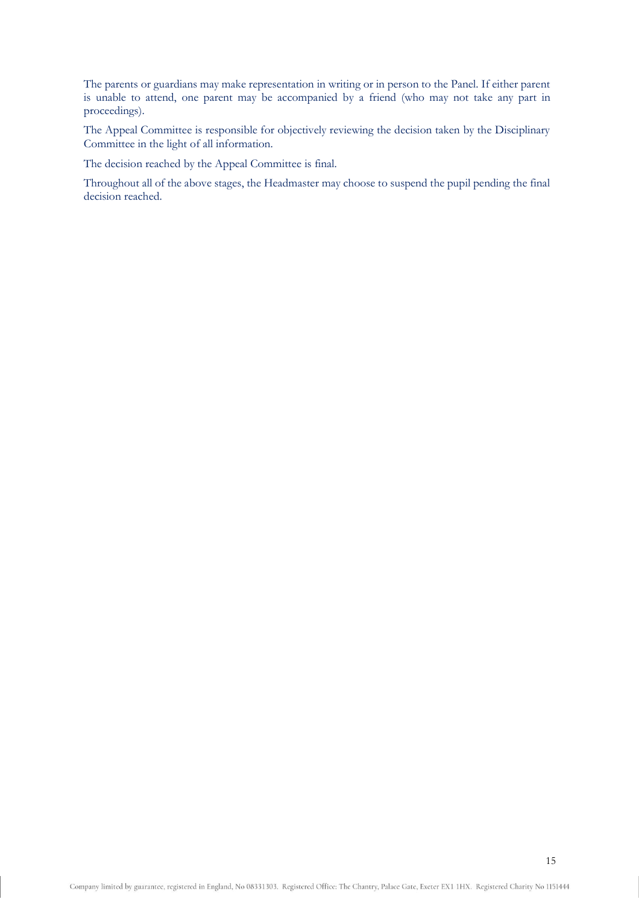The parents or guardians may make representation in writing or in person to the Panel. If either parent is unable to attend, one parent may be accompanied by a friend (who may not take any part in proceedings).

The Appeal Committee is responsible for objectively reviewing the decision taken by the Disciplinary Committee in the light of all information.

The decision reached by the Appeal Committee is final.

Throughout all of the above stages, the Headmaster may choose to suspend the pupil pending the final decision reached.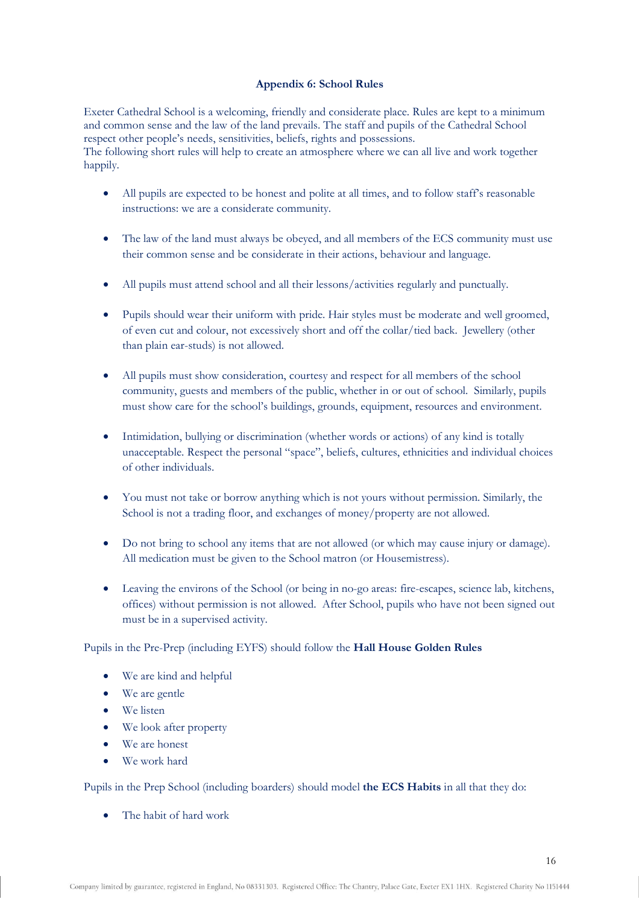# **Appendix 6: School Rules**

Exeter Cathedral School is a welcoming, friendly and considerate place. Rules are kept to a minimum and common sense and the law of the land prevails. The staff and pupils of the Cathedral School respect other people's needs, sensitivities, beliefs, rights and possessions. The following short rules will help to create an atmosphere where we can all live and work together happily.

- All pupils are expected to be honest and polite at all times, and to follow staff's reasonable instructions: we are a considerate community.
- The law of the land must always be obeyed, and all members of the ECS community must use their common sense and be considerate in their actions, behaviour and language.
- All pupils must attend school and all their lessons/activities regularly and punctually.
- Pupils should wear their uniform with pride. Hair styles must be moderate and well groomed, of even cut and colour, not excessively short and off the collar/tied back. Jewellery (other than plain ear-studs) is not allowed.
- All pupils must show consideration, courtesy and respect for all members of the school community, guests and members of the public, whether in or out of school. Similarly, pupils must show care for the school's buildings, grounds, equipment, resources and environment.
- Intimidation, bullying or discrimination (whether words or actions) of any kind is totally unacceptable. Respect the personal "space", beliefs, cultures, ethnicities and individual choices of other individuals.
- You must not take or borrow anything which is not yours without permission. Similarly, the School is not a trading floor, and exchanges of money/property are not allowed.
- Do not bring to school any items that are not allowed (or which may cause injury or damage). All medication must be given to the School matron (or Housemistress).
- Leaving the environs of the School (or being in no-go areas: fire-escapes, science lab, kitchens, offices) without permission is not allowed. After School, pupils who have not been signed out must be in a supervised activity.

# Pupils in the Pre-Prep (including EYFS) should follow the **Hall House Golden Rules**

- We are kind and helpful
- We are gentle
- We listen
- We look after property
- We are honest
- We work hard

Pupils in the Prep School (including boarders) should model **the ECS Habits** in all that they do:

• The habit of hard work